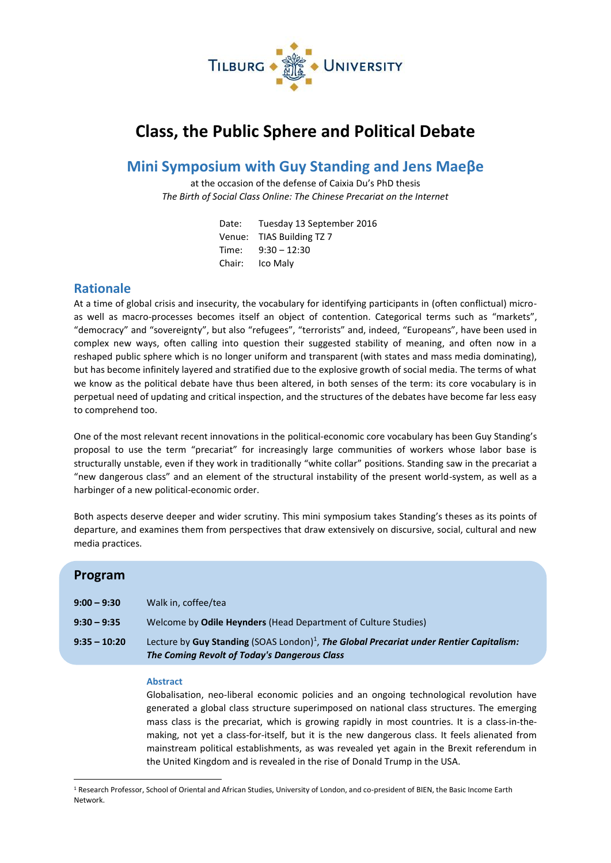

# **Class, the Public Sphere and Political Debate**

## **Mini Symposium with Guy Standing and Jens Maeβe**

at the occasion of the defense of Caixia Du's PhD thesis *The Birth of Social Class Online: The Chinese Precariat on the Internet*

| Date:  | Tuesday 13 September 2016 |
|--------|---------------------------|
|        | Venue: TIAS Building TZ 7 |
| Time:  | $9:30 - 12:30$            |
| Chair: | Ico Maly                  |

### **Rationale**

At a time of global crisis and insecurity, the vocabulary for identifying participants in (often conflictual) microas well as macro-processes becomes itself an object of contention. Categorical terms such as "markets", "democracy" and "sovereignty", but also "refugees", "terrorists" and, indeed, "Europeans", have been used in complex new ways, often calling into question their suggested stability of meaning, and often now in a reshaped public sphere which is no longer uniform and transparent (with states and mass media dominating), but has become infinitely layered and stratified due to the explosive growth of social media. The terms of what we know as the political debate have thus been altered, in both senses of the term: its core vocabulary is in perpetual need of updating and critical inspection, and the structures of the debates have become far less easy to comprehend too.

One of the most relevant recent innovations in the political-economic core vocabulary has been Guy Standing's proposal to use the term "precariat" for increasingly large communities of workers whose labor base is structurally unstable, even if they work in traditionally "white collar" positions. Standing saw in the precariat a "new dangerous class" and an element of the structural instability of the present world-system, as well as a harbinger of a new political-economic order.

Both aspects deserve deeper and wider scrutiny. This mini symposium takes Standing's theses as its points of departure, and examines them from perspectives that draw extensively on discursive, social, cultural and new media practices.

| Program        |                                                                                                                                                     |
|----------------|-----------------------------------------------------------------------------------------------------------------------------------------------------|
| $9:00 - 9:30$  | Walk in, coffee/tea                                                                                                                                 |
| $9:30 - 9:35$  | Welcome by Odile Heynders (Head Department of Culture Studies)                                                                                      |
| $9:35 - 10:20$ | Lecture by Guy Standing (SOAS London) <sup>1</sup> , The Global Precariat under Rentier Capitalism:<br>The Coming Revolt of Today's Dangerous Class |

#### **Abstract**

1

Globalisation, neo-liberal economic policies and an ongoing technological revolution have generated a global class structure superimposed on national class structures. The emerging mass class is the precariat, which is growing rapidly in most countries. It is a class-in-themaking, not yet a class-for-itself, but it is the new dangerous class. It feels alienated from mainstream political establishments, as was revealed yet again in the Brexit referendum in the United Kingdom and is revealed in the rise of Donald Trump in the USA.

<sup>1</sup> Research Professor, School of Oriental and African Studies, University of London, and co-president of BIEN, the Basic Income Earth Network.